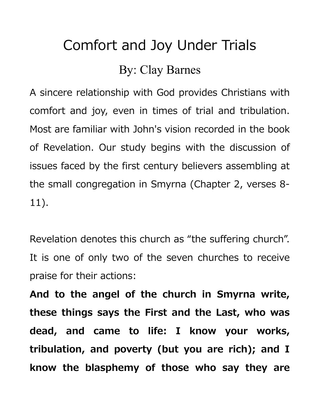## Comfort and Joy Under Trials

## By: Clay Barnes

A sincere relationship with God provides Christians with comfort and joy, even in times of trial and tribulation. Most are familiar with John's vision recorded in the book of Revelation. Our study begins with the discussion of issues faced by the first century believers assembling at the small congregation in Smyrna (Chapter 2, verses 8- 11).

Revelation denotes this church as "the suffering church". It is one of only two of the seven churches to receive praise for their actions:

**And to the angel of the church in Smyrna write, these things says the First and the Last, who was dead, and came to life: I know your works, tribulation, and poverty (but you are rich); and I know the blasphemy of those who say they are**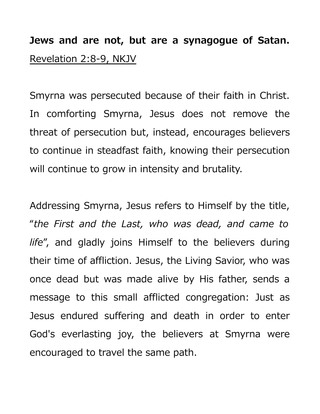**Jews and are not, but are a synagogue of Satan.** Revelation 2:8-9, NKJV

Smyrna was persecuted because of their faith in Christ. In comforting Smyrna, Jesus does not remove the threat of persecution but, instead, encourages believers to continue in steadfast faith, knowing their persecution will continue to grow in intensity and brutality.

Addressing Smyrna, Jesus refers to Himself by the title, "*the First and the Last, who was dead, and came to life*", and gladly joins Himself to the believers during their time of affliction. Jesus, the Living Savior, who was once dead but was made alive by His father, sends a message to this small afflicted congregation: Just as Jesus endured suffering and death in order to enter God's everlasting joy, the believers at Smyrna were encouraged to travel the same path.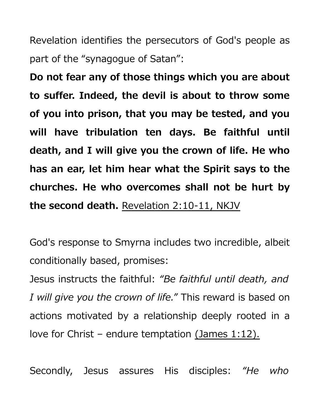Revelation identifies the persecutors of God's people as part of the "synagogue of Satan":

**Do not fear any of those things which you are about to suffer. Indeed, the devil is about to throw some of you into prison, that you may be tested, and you will have tribulation ten days. Be faithful until death, and I will give you the crown of life. He who has an ear, let him hear what the Spirit says to the churches. He who overcomes shall not be hurt by the second death.** Revelation 2:10-11, NKJV

God's response to Smyrna includes two incredible, albeit conditionally based, promises:

Jesus instructs the faithful: *"Be faithful until death, and I will give you the crown of life."* This reward is based on actions motivated by a relationship deeply rooted in a love for Christ – endure temptation (James 1:12).

Secondly, Jesus assures His disciples: *"He who*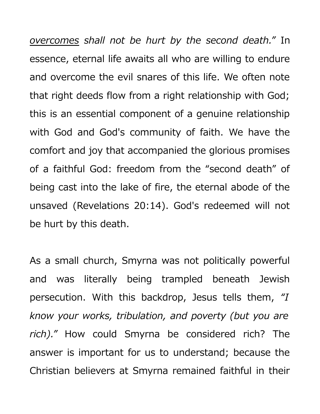*overcomes shall not be hurt by the second death."* In essence, eternal life awaits all who are willing to endure and overcome the evil snares of this life. We often note that right deeds flow from a right relationship with God; this is an essential component of a genuine relationship with God and God's community of faith. We have the comfort and joy that accompanied the glorious promises of a faithful God: freedom from the "second death" of being cast into the lake of fire, the eternal abode of the unsaved (Revelations 20:14). God's redeemed will not be hurt by this death.

As a small church, Smyrna was not politically powerful and was literally being trampled beneath Jewish persecution. With this backdrop, Jesus tells them, *"I know your works, tribulation, and poverty (but you are rich)."* How could Smyrna be considered rich? The answer is important for us to understand; because the Christian believers at Smyrna remained faithful in their